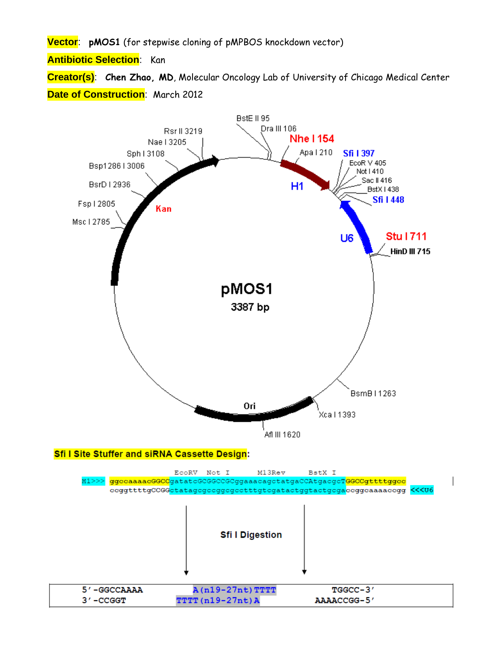**Vector**: **pMOS1** (for stepwise cloning of pMPBOS knockdown vector)

**Antibiotic Selection**: Kan

**Creator(s)**: **Chen Zhao, MD**, Molecular Oncology Lab of University of Chicago Medical Center **Date of Construction**: March 2012

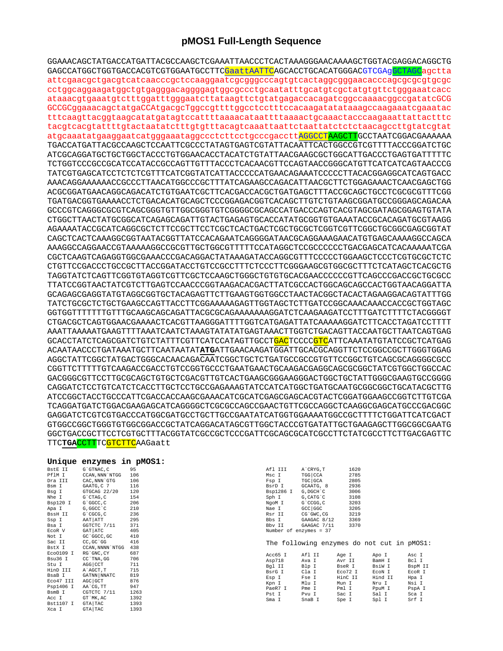## pMOS1 Full-Length Sequence

GGAAACAGCTATGACCATGATTACGCCAAGCTCGAAATTAACCCTCACTAAAGGGAACAAAAGCTGGTACGAGGACAGGCTG GAGCCATGGCTGGTGACCACGTCGTGGAATGCCTTC<mark>GaattAATTC</mark>AGCACCTGCACATGGGACGTCGAgGCTAGCagctta attcgaacgctgacgtcatcaacccgctccaaggaatcgcgggcccagtgtcactaggcgggaacacccagcgcgcgtgcgc cctggcaggaagatggctgtgagggacaggggagtggcgccctgcaatatttgcatgtcgctatgtgttctgggaaatcacc ataaacgtgaaatgtctttggatttgggaatcttataagttctgtatgagaccacagatcggccaaaacggccgatatcGCG GCCGCggaaacagctatgaCCAtgacgcTggccgttttggcctcctttccacaagatatataaagccaagaaatcgaaatac tttcaagttacggtaagcatatgatagtccattttaaaacataattttaaaactgcaaactacccaagaaattattactttc atgcaaatatgaaggaatcatgggaaataggccctcttcctgcccgaccttAGGCCTAAGCTTGCCTAATCGGACGAAAAAA TGACCATGATTACGCCAAGCTCCAATTCGCCCTATAGTGAGTCGTATTACAATTCACTGGCCGTCGTTTTACCCGGATCTGC ATCGCAGGATGCTGCTGGCTACCCTGTGGAACACCTACATCTGTATTAACGAAGCGCTGGCATTGACCCTGAGTGATTTTTC TCTGGTCCCGCCGCATCCATACCGCCAGTTGTTTACCCTCACAACGTTCCAGTAACCGGCATGTTCATCATCAGTAACCCG TATCGTGAGCATCCTCTCTCTTTCATCGGTATCATTACCCCCATGAACAGAAATCCCCCTTACACGGAGGCATCAGTGACC AAACAGGAAAAAAACCGCCTTAACATGGCCCTTTATCAGAAAGCAAACATTAACGCTTCTGGAGAAAACTCAAGGAGCTGG TGATGACGGTGAAAACCTCTGACACATGCAGCTCCCGGAGACGGTCACAGCTTGTCTGTAAGCGGATGCCGGAGCAGACAA GCCCGTCAGGGCGCGTCAGCGGGTGTTGGCGGGTGTCGGGGCGCAGCCATGACCCAGTCACGTAGCGATAGCGGAGTGTATA CTGGCTTAACTATGCGGCATCAGAGCAGATTGTACTGAGAGTGCACCATATGCGGTGTGAAATACCGCACAGATGCGTAAGG AGAAAATACCGCATCAGGCGCTCTTCCGCTTCCTCGCTCACTGACTCGCTGCGCTCGGTCGTTCGGCTGCGGCGAGCGGTAT CAGCTCACTCAAAGGCGGTAATACGGTTATCCACAGAATCAGGGGATAACGCAGGAAAGAACATGTGAGCAAAAGGCCAGCA AAAGGCCAGGAACCGTAAAAAGGCCGCGTTGCTGGCGTTTTTCCATAGGCTCCGCCCCCCTGACGAGCATCACAAAAATCGA CGCTCAAGTCAGAGGTGGCGAAACCCGACAGGACTATAAAGATACCAGGCGTTTCCCCCTGGAAGCTCCCTCGTGCGCTCTC CTGTTCCGACCCTGCCGCTTACCGGATACCTGTCCGCCTTTCTCCCTTCGGGAAGCGTGGCGCTTTCTCATAGCTCACGCTG TAGGTATCTCAGTTCGGTGTAGGTCGTTCGCTCCAAGCTGGGCTGTGTGCACGAACCCCCCGTTCAGCCCGACCGCTGCGCC TTATCCGGTAACTATCGTCTTGAGTCCAACCCGGTAAGACACGACTTATCGCCACTGGCAGCAGCCACTGGTAACAGGATTA GCAGAGCGAGGTATGTAGGCGGTGCTACAGAGTTCTTGAAGTGGTGGCCTAACTACGGCTACACTAGAAGGACAGTATTTGG GGTGGTTTTTTTGTTTGCAAGCAGCAGATTACGCGCAGAAAAAAAGGATCTCAAGAAGATCCTTTGATCTTTTCTACGGGGT CTGACGCTCAGTGGAACGAAAACTCACGTTAAGGGATTTTGGTCATGAGATTATCAAAAAGGATCTTCACCTAGATCCTTTT AAATTAAAAATGAAGTTTTAAATCAATCTAAAGTATATATGAGTAAACTTGGTCTGACAGTTACCAATGCTTAATCAGTGAG GCACCTATCTCAGCGATCTGTCTATTTCGTTCATCCATAGTTGCCT<mark>GAC</mark>TCCCC<mark>GTC</mark>ATTCAAATATGTATCCGCTCATGAG ACAATAACCCTGATAAATGCTTCAATAATATATATGATTGAACAAGATGGATTGCACGCAGGTTCTCCGGCCGCTTGGGTGGAG AGGCTATTCGGCTATGACTGGGCACAACAGACAATCGGCTGCTCTGATGCCGCCGTGTTCCGGCTGTCAGCGCAGGGGCCC GACGGGCGTTCCTTGCGCAGCTGTGCTCGACGTTGTCACTGAAGCGGGAAGGGACTGGCTGCTATTGGGCGAAGTGCCGGGG CAGGATCTCCTGTCATCTCACCTTGCTCCTGCCGAGAAAGTATCCATCATGGCTGATGCGATGCGGCGGCTGCATACGCTTG TCAGGATGATCTGGACGAAGAGCATCAGGGGCTCGCGCCAGCCGAACTGTTCGCCAGGCTCAAGGCGAGCATGCCCGACGGC GAGGATCTCGTCGTGACCCATGGCGATGCCTGCTTGCCGAATATCATGGTGGAAAATGGCCGCTTTTCTGGATTCATCGACT GTGGCCGGCTGGGTGTGGCGGACCGCTATCAGGACATAGCGTTGGCTACCCGTGATATTGCTGAAGAGCTTGGCGGCGAATG GGCTGACCGCTTCCTCGTGCTTTACGGTATCGCCGCTCCCGATTCGCAGCGCATCGCCTTCTATCGCCTTCTTGACGAGTTC TTCTGACCTTTCGTCTTCAAGaatt

|         | Unique enzymes in pMOS1: |    |  |
|---------|--------------------------|----|--|
| BstE II | G`GTNAC.C                | 95 |  |

| PflM I    | CCAN, NNN`NTGG  | 106  |
|-----------|-----------------|------|
| Dra III   | CAC, NNN`GTG    | 106  |
| Bsm I     | GAATG, C 7      | 116  |
| Bsq I     | GTGCAG 22/20    | 120  |
| Nhe I     | G`CTAG, C       | 154  |
| Bsp120 I  | G`GGCC, C       | 206  |
| Apa I     | G, GGCC 'C      | 210  |
| BssH II   | G`CGCG, C       | 236  |
| Ssp I     | AAT ATT         | 295  |
| Bsa I     | GGTCTC 7/11     | 371  |
| ECOR V    | GAT ATC         | 405  |
| Not I     | GC`GGCC,GC      | 410  |
| Sac II    | CC, GC 'GG      | 416  |
| BstX I    | CCAN, NNNN`NTGG | 438  |
| Eco0109 I | RG`GNC, CY      | 687  |
| Bsu36 I   | CC`TNA,GG       | 706  |
| Stu I     | AGG   CCT       | 711  |
| HinD III  | A`AGCT, T       | 715  |
| BsaB I    | GATNN NNATC     | 819  |
| Eco47 III | AGC GCT         | 876  |
| Psp1406 I | AA`CG, TT       | 947  |
| BsmB I    | CGTCTC 7/11     | 1263 |
| Acc I     | GT`MK, AC       | 1392 |
| Bst1107 I | GTA TAC         | 1393 |
| Xca I     | GTA TAC         | 1393 |

| Afl III   | A CRYG, T              | 1620 |
|-----------|------------------------|------|
|           |                        |      |
| Msc T     | TGG CCA                | 2785 |
| Fsp I     | TGC GCA                | 2805 |
| BsrD I    | GCAATG, 8              | 2936 |
| Bsp1286 I | G.DGCH C               | 3006 |
| Sph I     | G.CATG'C               | 3108 |
| NgoM I    | $G$ $CCGG$ , $C$       | 3203 |
| Nae T     | GCC GGC                | 3205 |
| Rsr II    | CG`GWC.CG              | 3219 |
| Bbs T     | GAAGAC 8/12            | 3369 |
| Bby TT    | GAAGAC 7/11            | 3370 |
|           | Number of enzymes = 37 |      |
|           |                        |      |

The following enzymes do not cut in pMOS1:

| Acc65 I<br>Asp718<br>Bgl II<br>BsrG I<br>Esp I<br>Kpn I<br>PaeR7 I<br>Pst I | Afl II<br>Ava I<br>Blp I<br>Cla I<br>Fse I<br>Mlu I<br>Pme I<br>Pvu I | Age I<br>Avr II<br>BseR I<br>Eco72 I<br>HinC II<br>Mun I<br>Pml I<br>Sac I | Apo I<br>BamH I<br>BsiW I<br>ECON I<br>Hind II<br>Nru I<br>PpuM I<br>Sal I | Asc I<br>Bcl I<br>BspM II<br>ECOR I<br>Hpa I<br>Nsi I<br>PspA I<br>Sca I |
|-----------------------------------------------------------------------------|-----------------------------------------------------------------------|----------------------------------------------------------------------------|----------------------------------------------------------------------------|--------------------------------------------------------------------------|
| Sma I                                                                       | SnaB I                                                                | Spe I                                                                      | Spl I                                                                      | Srf I                                                                    |
|                                                                             |                                                                       |                                                                            |                                                                            |                                                                          |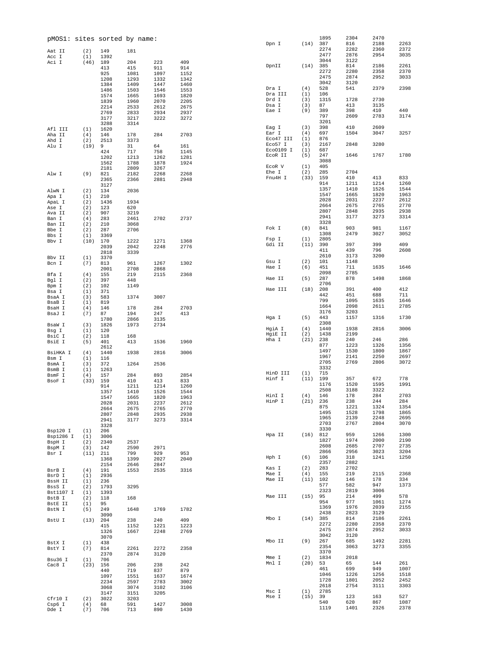|                     |             | pMOS1: sites sorted by name: |              |              |              | Dpn I             | (14)        | 1895<br>387  | 2304<br>816  | 2470<br>2188 | 2263         |
|---------------------|-------------|------------------------------|--------------|--------------|--------------|-------------------|-------------|--------------|--------------|--------------|--------------|
| Aat II              | (2)         | 149                          | 181          |              |              |                   |             | 2274         | 2282         | 2360         | 2372         |
| Acc I               | (1)         | 1392                         |              |              |              |                   |             | 2477         | 2876         | 2954         | 3035         |
| Aci I               | (46)        | 189                          | 204          | 223          | 409          | DpnII             | (14)        | 3044<br>385  | 3122<br>814  | 2186         | 2261         |
|                     |             | 413                          | 415          | 911          | 914          |                   |             | 2272         | 2280         | 2358         | 2370         |
|                     |             | 925<br>1208                  | 1081<br>1293 | 1097<br>1332 | 1152<br>1342 |                   |             | 2475         | 2874         | 2952         | 3033         |
|                     |             | 1384                         | 1409         | 1447         | 1460         |                   |             | 3042         | 3120         |              |              |
|                     |             | 1486                         | 1503         | 1546         | 1553         | Dra I             | (4)         | 528          | 541          | 2379         | 2398         |
|                     |             | 1574                         | 1665         | 1693         | 1820         | Dra III<br>Drd I  | (1)<br>(3)  | 106<br>1315  | 1728         | 2730         |              |
|                     |             | 1839<br>2214                 | 1960<br>2533 | 2070<br>2612 | 2205<br>2675 | Dsa I             | (3)         | 87           | 413          | 3135         |              |
|                     |             | 2769                         | 2833         | 2934         | 2937         | Eae I             | (9)         | 389          | 398          | 410          | 440          |
|                     |             | 3177                         | 3217         | 3222         | 3272         |                   |             | 797          | 2609         | 2783         | 3174         |
|                     |             | 3288                         | 3314         |              |              |                   |             | 3201<br>398  | 410          | 2609         |              |
| Afl III             | (1)         | 1620                         |              |              |              | Eag I<br>Ear I    | (3)<br>(4)  | 697          | 1504         | 3047         | 3257         |
| Aha II<br>Ahd I     | (4)<br>(2)  | 146<br>2513                  | 178<br>3373  | 284          | 2703         | Eco47 III         | (1)         | 876          |              |              |              |
| Alu I               | (19)        | 9                            | 31           | 64           | 161          | Eco57 I           | (3)         | 2167         | 2848         | 3280         |              |
|                     |             | 424                          | 717          | 758          | 1145         | Eco0109 I         | (1)         | 687          |              |              |              |
|                     |             | 1202                         | 1213         | 1262         | 1281         | ECOR II           | (5)         | 247<br>3088  | 1646         | 1767         | 1780         |
|                     |             | 1562                         | 1788         | 1878         | 1924         | ECOR V            | (1)         | 405          |              |              |              |
| Alw I               | (9)         | 2181<br>821                  | 2809<br>2182 | 3267<br>2268 | 2268         | Ehe I             | (2)         | 285          | 2704         |              |              |
|                     |             | 2365                         | 2366         | 2881         | 2948         | Fnu4H I           | (33)        | 159          | 410          | 413          | 833          |
|                     |             | 3127                         |              |              |              |                   |             | 914          | 1211         | 1214         | 1260         |
| AlwN I              | (2)         | 134                          | 2036         |              |              |                   |             | 1357<br>1547 | 1410<br>1665 | 1526<br>1820 | 1544<br>1963 |
| Apa I               | (1)         | 210                          |              |              |              |                   |             | 2028         | 2031         | 2237         | 2612         |
| ApaL I<br>Ase I     | (2)<br>(2)  | 1436<br>123                  | 1934<br>620  |              |              |                   |             | 2664         | 2675         | 2765         | 2770         |
| Ava II              | (2)         | 907                          | 3219         |              |              |                   |             | 2807         | 2848         | 2935         | 2938         |
| Ban I               | (4)         | 283                          | 2461         | 2702         | 2737         |                   |             | 2941         | 3177         | 3273         | 3314         |
| Ban II              | (2)         | 210                          | 3068         |              |              | Fok I             | (8)         | 3328<br>841  | 903          | 981          | 1167         |
| Bbe I               | (2)         | 287                          | 2706         |              |              |                   |             | 1308         | 2479         | 3027         | 3052         |
| Bbs I<br>Bbv I      | (1)<br>(10) | 3369<br>170                  | 1222         | 1271         | 1368         | Fsp I             | (1)         | 2805         |              |              |              |
|                     |             | 2039                         | 2042         | 2248         | 2776         | Gdi II            | (11)        | 390          | 397          | 399          | 409          |
|                     |             | 2818                         | 3339         |              |              |                   |             | 411          | 439          | 796          | 2608         |
| Bbv II              | (1)         | 3370                         |              |              |              |                   |             | 2610         | 3173         | 3200         |              |
| Bcn I               | (7)         | 813                          | 961          | 1267         | 1302         | Gsu I<br>Hae I    | (2)<br>(6)  | 101<br>451   | 1148<br>711  | 1635         | 1646         |
|                     | (4)         | 2001<br>155                  | 2708<br>219  | 2868         |              |                   |             | 2098         | 2785         |              |              |
| Bfa I<br>Bgl I      | (2)         | 397                          | 448          | 2115         | 2368         | Hae II            | (5)         | 287          | 878          | 1498         | 1868         |
| Bpm I               | (2)         | 102                          | 1149         |              |              |                   |             | 2706         |              |              |              |
| Bsa I               | (1)         | 371                          |              |              |              | Hae III           | (18)        | 208          | 391          | 400          | 412          |
| BsaA I              | (3)         | 583                          | 1374         | 3007         |              |                   |             | 442<br>799   | 451<br>1095  | 688<br>1635  | 711<br>1646  |
| BsaB I              | (1)         | 819                          |              |              |              |                   |             | 1664         | 2098         | 2611         | 2785         |
| BsaH I<br>BsaJ I    | (4)<br>(7)  | 146<br>87                    | 178<br>194   | 284<br>247   | 2703<br>413  |                   |             | 3176         | 3203         |              |              |
|                     |             | 1780                         | 2866         | 3135         |              | Hga I             | (5)         | 443          | 1157         | 1316         | 1730         |
| BsaW I              | (3)         | 1826                         | 1973         | 2734         |              |                   |             | 2308         |              |              |              |
| Bsg I               | (1)         | 120                          |              |              |              | HgiA I<br>HgiE II | (4)<br>(2)  | 1440<br>1438 | 1938<br>2199 | 2816         | 3006         |
| BsiC I              | (2)         | 118<br>401                   | 168<br>413   |              | 1960         | Hha I             | (21)        | 238          | 240          | 246          | 286          |
| BsiE I              | (5)         | 2612                         |              | 1536         |              |                   |             | 877          | 1223         | 1326         | 1356         |
| BsiHKA I            | (4)         | 1440                         | 1938         | 2816         | 3006         |                   |             | 1497         | 1530         | 1800         | 1867         |
| Bsm I               | (1)         | 116                          |              |              |              |                   |             | 1967         | 2141         | 2250         | 2697         |
| BsmA I              | (3)         | 372                          | 1264         | 2536         |              |                   |             | 2705<br>3332 | 2769         | 2806         | 3072         |
| BsmB I              | (1)         | 1263                         |              |              |              | HinD III          | (1)         | 715          |              |              |              |
| BsmF I<br>BsoF I    | (4)<br>(33) | 157<br>159                   | 284<br>410   | 893<br>413   | 2854<br>833  | Hinf I            | (11)        | 199          | 357          | 672          | 778          |
|                     |             | 914                          | 1211         | 1214         | 1260         |                   |             | 1176         | 1520         | 1595         | 1991         |
|                     |             | 1357                         | 1410         | 1526         | 1544         |                   |             | 2508         | 3188         | 3322         |              |
|                     |             | 1547                         | 1665         | 1820         | 1963         | HinI I<br>HinP I  | (4)<br>(21) | 146<br>236   | 178<br>238   | 284<br>244   | 2703<br>284  |
|                     |             | 2028<br>2664                 | 2031<br>2675 | 2237<br>2765 | 2612<br>2770 |                   |             | 875          | 1221         | 1324         | 1354         |
|                     |             | 2807                         | 2848         | 2935         | 2938         |                   |             | 1495         | 1528         | 1798         | 1865         |
|                     |             | 2941                         | 3177         | 3273         | 3314         |                   |             | 1965         | 2139         | 2248         | 2695         |
|                     |             | 3328                         |              |              |              |                   |             | 2703         | 2767         | 2804         | 3070         |
| Bsp120 I            | (1)         | 206                          |              |              |              | Hpa II            | (16)        | 3330<br>812  | 959          | 1266         | 1300         |
| Bsp1286 I<br>BspH I | (1)<br>(2)  | 3006<br>2340                 | 2537         |              |              |                   |             | 1827         | 1974         | 2000         | 2190         |
| BspM I              | (3)         | 142                          | 2590         | 2971         |              |                   |             | 2608         | 2685         | 2707         | 2735         |
| Bsr I               | (11)        | 211                          | 799          | 929          | 953          |                   |             | 2866         | 2956         | 3023         | 3204         |
|                     |             | 1368                         | 1399         | 2027         | 2040         | Hph I             | (6)         | 106<br>2357  | 318<br>2882  | 1241         | 1250         |
|                     |             | 2154                         | 2646         | 2847         |              | Kas I             | (2)         | 283          | 2702         |              |              |
| BsrB I<br>BsrD I    | (4)<br>(1)  | 191<br>2936                  | 1553         | 2535         | 3316         | Mae I             | (4)         | 155          | 219          | 2115         | 2368         |
| BssH II             | (1)         | 236                          |              |              |              | Mae II            | (11)        | 102          | 146          | 178          | 334          |
| BssS I              | (2)         | 1793                         | 3295         |              |              |                   |             | 577          | 582          | 947          | 1373         |
| Bst1107 I           | (1)         | 1393                         |              |              |              |                   |             | 2323         | 2819<br>214  | 3006<br>499  | 578          |
| BstB I              | (2)         | 118                          | 168          |              |              | Mae III           | (15)        | 95<br>954    | 977          | 1061         | 1274         |
| BstE II<br>BstN I   | (1)<br>(5)  | 95<br>249                    | 1648         | 1769         | 1782         |                   |             | 1369         | 1976         | 2039         | 2155         |
|                     |             | 3090                         |              |              |              |                   |             | 2438         | 2823         | 3129         |              |
| BstU I              | (13)        | 204                          | 238          | 240          | 409          | Mbo I             | (14)        | 385          | 814          | 2186         | 2261         |
|                     |             | 415                          | 1152         | 1221         | 1223         |                   |             | 2272         | 2280         | 2358         | 2370         |
|                     |             | 1326                         | 1667         | 2248         | 2769         |                   |             | 2475<br>3042 | 2874<br>3120 | 2952         | 3033         |
|                     |             | 3070                         |              |              |              | Mbo II            | (9)         | 267          | 685          | 1492         | 2281         |
| BstX I<br>BstY I    | (1)<br>(7)  | 438<br>814                   | 2261         | 2272         | 2358         |                   |             | 2354         | 3063         | 3273         | 3355         |
|                     |             | 2370                         | 2874         | 3120         |              |                   |             | 3370         |              |              |              |
| Bsu36 I             | (1)         | 706                          |              |              |              | Mme I             | (2)         | 1834         | 2018         |              |              |
| Cac8 I              | (23)        | 156                          | 206          | 238          | 242          | Mnl I             | (20)        | 53<br>461    | 65<br>699    | 144<br>949   | 261<br>1007  |
|                     |             | 440<br>1097                  | 719<br>1551  | 837<br>1637  | 879<br>1674  |                   |             | 1046         | 1226         | 1256         | 1518         |
|                     |             | 2234                         | 2597         | 2783         | 3002         |                   |             | 1728         | 1801         | 2052         | 2452         |
|                     |             | 3068                         | 3074         | 3102         | 3106         |                   |             | 2618         | 2754         | 3111         | 3303         |
|                     |             | 3147                         | 3151         | 3205         |              | Msc I<br>Mse I    | (1)<br>(15) | 2785         | 123          | 163          | 527          |
| Cfr10 I             | (2)         | 3022                         | 3203         |              |              |                   |             | 39<br>540    | 620          | 867          | 1087         |
| Csp6 I<br>Dde I     | (4)<br>(7)  | 68<br>706                    | 591<br>713   | 1427<br>890  | 3008<br>1430 |                   |             | 1119         | 1401         | 2326         | 2378         |
|                     |             |                              |              |              |              |                   |             |              |              |              |              |